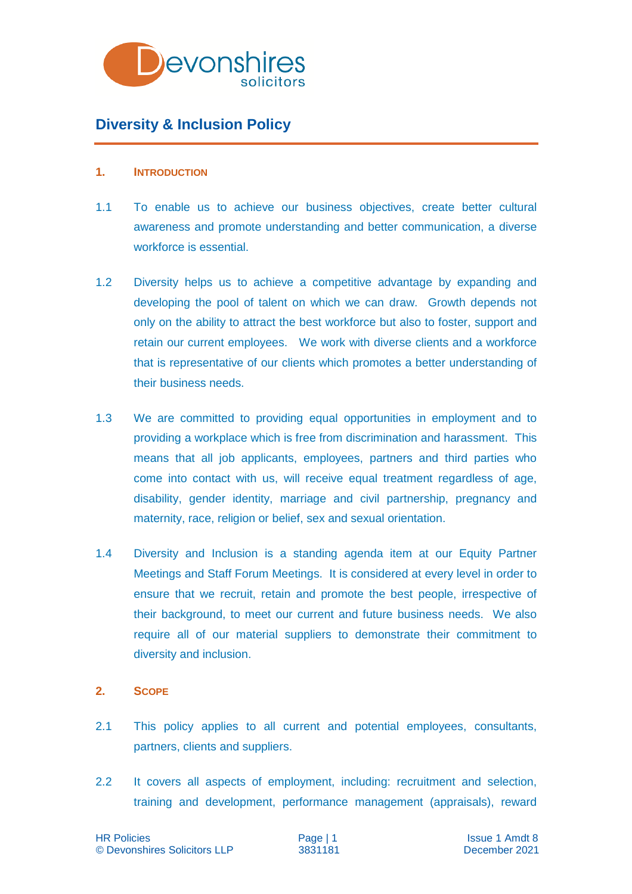

# **Diversity & Inclusion Policy**

#### **1. INTRODUCTION**

- 1.1 To enable us to achieve our business objectives, create better cultural awareness and promote understanding and better communication, a diverse workforce is essential.
- 1.2 Diversity helps us to achieve a competitive advantage by expanding and developing the pool of talent on which we can draw. Growth depends not only on the ability to attract the best workforce but also to foster, support and retain our current employees. We work with diverse clients and a workforce that is representative of our clients which promotes a better understanding of their business needs.
- 1.3 We are committed to providing equal opportunities in employment and to providing a workplace which is free from discrimination and harassment. This means that all job applicants, employees, partners and third parties who come into contact with us, will receive equal treatment regardless of age, disability, gender identity, marriage and civil partnership, pregnancy and maternity, race, religion or belief, sex and sexual orientation.
- 1.4 Diversity and Inclusion is a standing agenda item at our Equity Partner Meetings and Staff Forum Meetings. It is considered at every level in order to ensure that we recruit, retain and promote the best people, irrespective of their background, to meet our current and future business needs. We also require all of our material suppliers to demonstrate their commitment to diversity and inclusion.

## **2. SCOPE**

- 2.1 This policy applies to all current and potential employees, consultants, partners, clients and suppliers.
- 2.2 It covers all aspects of employment, including: recruitment and selection, training and development, performance management (appraisals), reward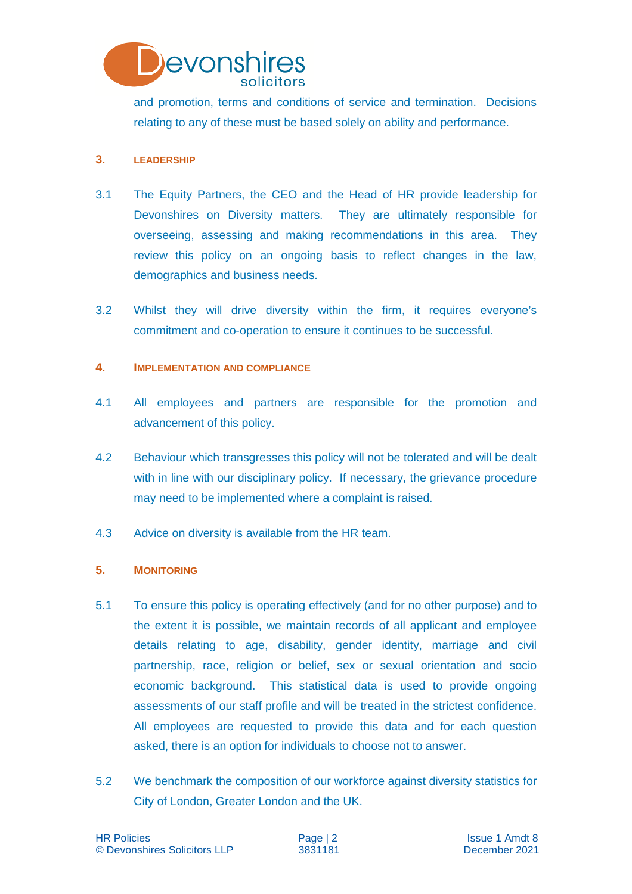

and promotion, terms and conditions of service and termination. Decisions relating to any of these must be based solely on ability and performance.

## **3. LEADERSHIP**

- 3.1 The Equity Partners, the CEO and the Head of HR provide leadership for Devonshires on Diversity matters. They are ultimately responsible for overseeing, assessing and making recommendations in this area. They review this policy on an ongoing basis to reflect changes in the law, demographics and business needs.
- 3.2 Whilst they will drive diversity within the firm, it requires everyone's commitment and co-operation to ensure it continues to be successful.

#### **4. IMPLEMENTATION AND COMPLIANCE**

- 4.1 All employees and partners are responsible for the promotion and advancement of this policy.
- 4.2 Behaviour which transgresses this policy will not be tolerated and will be dealt with in line with our disciplinary policy. If necessary, the grievance procedure may need to be implemented where a complaint is raised.
- 4.3 Advice on diversity is available from the HR team.

## **5. MONITORING**

- 5.1 To ensure this policy is operating effectively (and for no other purpose) and to the extent it is possible, we maintain records of all applicant and employee details relating to age, disability, gender identity, marriage and civil partnership, race, religion or belief, sex or sexual orientation and socio economic background. This statistical data is used to provide ongoing assessments of our staff profile and will be treated in the strictest confidence. All employees are requested to provide this data and for each question asked, there is an option for individuals to choose not to answer.
- 5.2 We benchmark the composition of our workforce against diversity statistics for City of London, Greater London and the UK.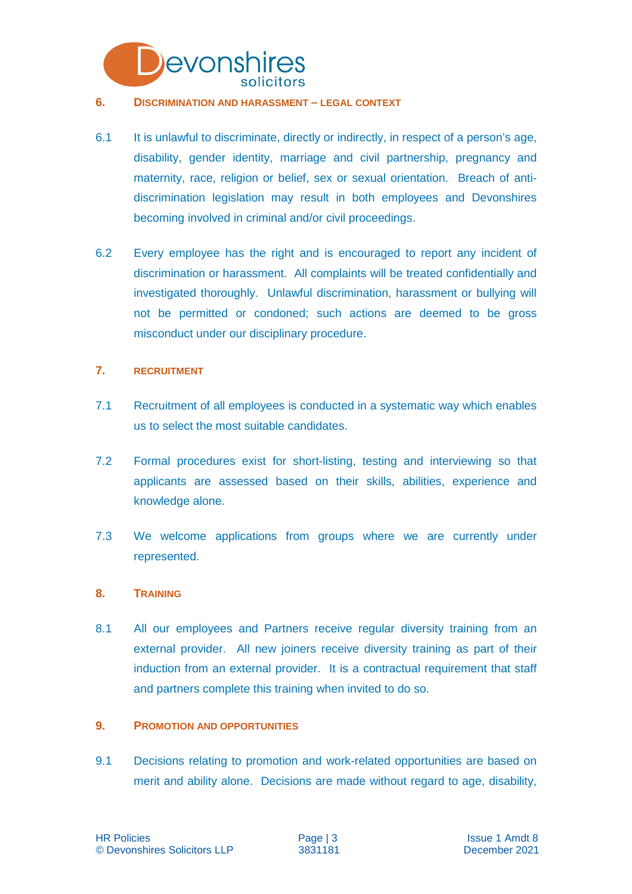

#### **6. DISCRIMINATION AND HARASSMENT – LEGAL CONTEXT**

- 6.1 It is unlawful to discriminate, directly or indirectly, in respect of a person's age, disability, gender identity, marriage and civil partnership, pregnancy and maternity, race, religion or belief, sex or sexual orientation. Breach of antidiscrimination legislation may result in both employees and Devonshires becoming involved in criminal and/or civil proceedings.
- 6.2 Every employee has the right and is encouraged to report any incident of discrimination or harassment. All complaints will be treated confidentially and investigated thoroughly. Unlawful discrimination, harassment or bullying will not be permitted or condoned; such actions are deemed to be gross misconduct under our disciplinary procedure.

## **7. RECRUITMENT**

- 7.1 Recruitment of all employees is conducted in a systematic way which enables us to select the most suitable candidates.
- 7.2 Formal procedures exist for short-listing, testing and interviewing so that applicants are assessed based on their skills, abilities, experience and knowledge alone.
- 7.3 We welcome applications from groups where we are currently under represented.

#### **8. TRAINING**

8.1 All our employees and Partners receive regular diversity training from an external provider. All new joiners receive diversity training as part of their induction from an external provider. It is a contractual requirement that staff and partners complete this training when invited to do so.

#### **9. PROMOTION AND OPPORTUNITIES**

9.1 Decisions relating to promotion and work-related opportunities are based on merit and ability alone. Decisions are made without regard to age, disability,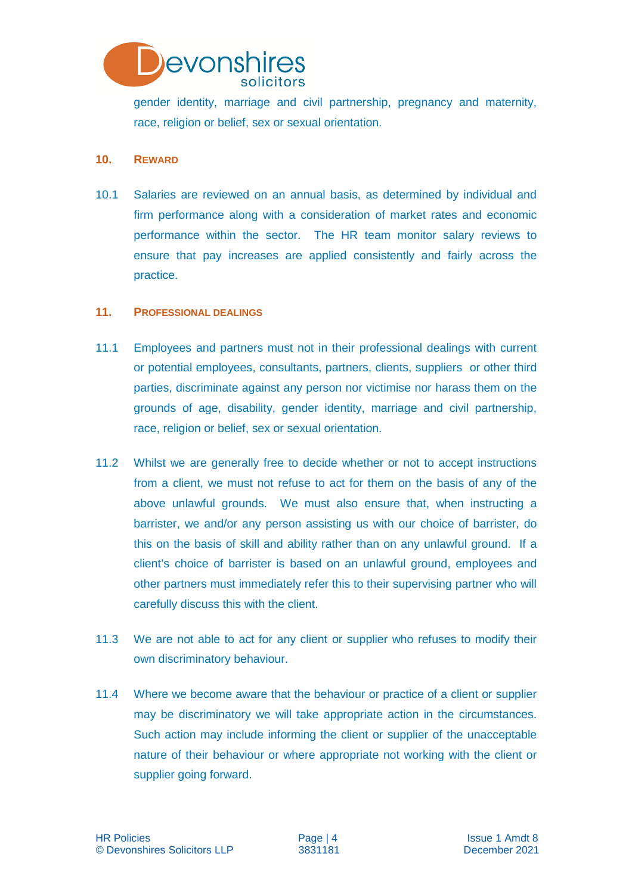

gender identity, marriage and civil partnership, pregnancy and maternity, race, religion or belief, sex or sexual orientation.

## **10. REWARD**

10.1 Salaries are reviewed on an annual basis, as determined by individual and firm performance along with a consideration of market rates and economic performance within the sector. The HR team monitor salary reviews to ensure that pay increases are applied consistently and fairly across the practice.

## **11. PROFESSIONAL DEALINGS**

- 11.1 Employees and partners must not in their professional dealings with current or potential employees, consultants, partners, clients, suppliers or other third parties, discriminate against any person nor victimise nor harass them on the grounds of age, disability, gender identity, marriage and civil partnership, race, religion or belief, sex or sexual orientation.
- 11.2 Whilst we are generally free to decide whether or not to accept instructions from a client, we must not refuse to act for them on the basis of any of the above unlawful grounds. We must also ensure that, when instructing a barrister, we and/or any person assisting us with our choice of barrister, do this on the basis of skill and ability rather than on any unlawful ground. If a client's choice of barrister is based on an unlawful ground, employees and other partners must immediately refer this to their supervising partner who will carefully discuss this with the client.
- 11.3 We are not able to act for any client or supplier who refuses to modify their own discriminatory behaviour.
- 11.4 Where we become aware that the behaviour or practice of a client or supplier may be discriminatory we will take appropriate action in the circumstances. Such action may include informing the client or supplier of the unacceptable nature of their behaviour or where appropriate not working with the client or supplier going forward.